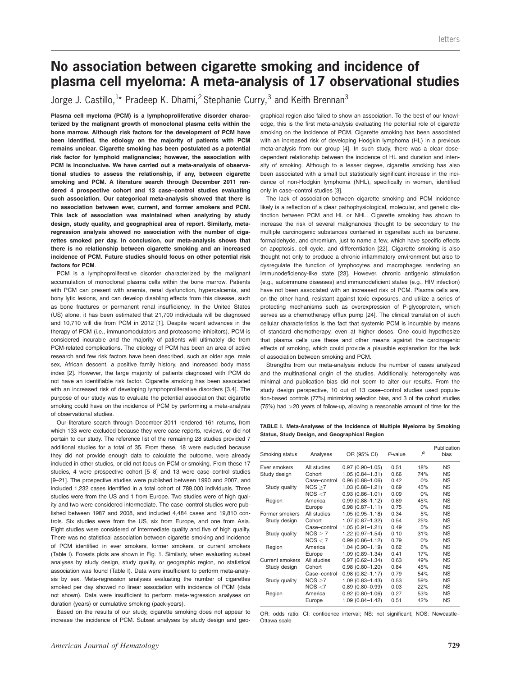## No association between cigarette smoking and incidence of plasma cell myeloma: A meta-analysis of 17 observational studies

Jorge J. Castillo,<sup>1\*</sup> Pradeep K. Dhami,<sup>2</sup> Stephanie Curry,<sup>3</sup> and Keith Brennan<sup>3</sup>

Plasma cell myeloma (PCM) is a lymphoproliferative disorder characterized by the malignant growth of monoclonal plasma cells within the bone marrow. Although risk factors for the development of PCM have been identified, the etiology on the majority of patients with PCM remains unclear. Cigarette smoking has been postulated as a potential risk factor for lymphoid malignancies; however, the association with PCM is inconclusive. We have carried out a meta-analysis of observational studies to assess the relationship, if any, between cigarette smoking and PCM. A literature search through December 2011 rendered 4 prospective cohort and 13 case–control studies evaluating such association. Our categorical meta-analysis showed that there is no association between ever, current, and former smokers and PCM. This lack of association was maintained when analyzing by study design, study quality, and geographical area of report. Similarly, metaregression analysis showed no association with the number of cigarettes smoked per day. In conclusion, our meta-analysis shows that there is no relationship between cigarette smoking and an increased incidence of PCM. Future studies should focus on other potential risk factors for PCM.

PCM is a lymphoproliferative disorder characterized by the malignant accumulation of monoclonal plasma cells within the bone marrow. Patients with PCM can present with anemia, renal dysfunction, hypercalcemia, and bony lytic lesions, and can develop disabling effects from this disease, such as bone fractures or permanent renal insufficiency. In the United States (US) alone, it has been estimated that 21,700 individuals will be diagnosed and 10,710 will die from PCM in 2012 [1]. Despite recent advances in the therapy of PCM (i.e., immunomodulators and proteasome inhibitors), PCM is considered incurable and the majority of patients will ultimately die from PCM-related complications. The etiology of PCM has been an area of active research and few risk factors have been described, such as older age, male sex, African descent, a positive family history, and increased body mass index [2]. However, the large majority of patients diagnosed with PCM do not have an identifiable risk factor. Cigarette smoking has been associated with an increased risk of developing lymphoproliferative disorders [3,4]. The purpose of our study was to evaluate the potential association that cigarette smoking could have on the incidence of PCM by performing a meta-analysis of observational studies.

Our literature search through December 2011 rendered 161 returns, from which 133 were excluded because they were case reports, reviews, or did not pertain to our study. The reference list of the remaining 28 studies provided 7 additional studies for a total of 35. From these, 18 were excluded because they did not provide enough data to calculate the outcome, were already included in other studies, or did not focus on PCM or smoking. From these 17 studies, 4 were prospective cohort [5–8] and 13 were case–control studies [9–21]. The prospective studies were published between 1990 and 2007, and included 1,232 cases identified in a total cohort of 789,000 individuals. Three studies were from the US and 1 from Europe. Two studies were of high quality and two were considered intermediate. The case–control studies were published between 1987 and 2008, and included 4,484 cases and 19,810 controls. Six studies were from the US, six from Europe, and one from Asia. Eight studies were considered of intermediate quality and five of high quality. There was no statistical association between cigarette smoking and incidence of PCM identified in ever smokers, former smokers, or current smokers (Table I). Forests plots are shown in Fig. 1. Similarly, when evaluating subset analyses by study design, study quality, or geographic region, no statistical association was found (Table I). Data were insufficient to perform meta-analysis by sex. Meta-regression analyses evaluating the number of cigarettes smoked per day showed no linear association with incidence of PCM (data not shown). Data were insufficient to perform meta-regression analyses on duration (years) or cumulative smoking (pack-years).

Based on the results of our study, cigarette smoking does not appear to increase the incidence of PCM. Subset analyses by study design and geo-

graphical region also failed to show an association. To the best of our knowledge, this is the first meta-analysis evaluating the potential role of cigarette smoking on the incidence of PCM. Cigarette smoking has been associated with an increased risk of developing Hodgkin lymphoma (HL) in a previous meta-analysis from our group [4]. In such study, there was a clear dosedependent relationship between the incidence of HL and duration and intensity of smoking. Although to a lesser degree, cigarette smoking has also been associated with a small but statistically significant increase in the incidence of non-Hodgkin lymphoma (NHL), specifically in women, identified only in case–control studies [3].

The lack of association between cigarette smoking and PCM incidence likely is a reflection of a clear pathophysiological, molecular, and genetic distinction between PCM and HL or NHL. Cigarette smoking has shown to increase the risk of several malignancies thought to be secondary to the multiple carcinogenic substances contained in cigarettes such as benzene, formaldehyde, and chromium, just to name a few, which have specific effects on apoptosis, cell cycle, and differentiation [22]. Cigarette smoking is also thought not only to produce a chronic inflammatory environment but also to dysregulate the function of lymphocytes and macrophages rendering an immunodeficiency-like state [23]. However, chronic antigenic stimulation (e.g., autoimmune diseases) and immunodeficient states (e.g., HIV infection) have not been associated with an increased risk of PCM. Plasma cells are, on the other hand, resistant against toxic exposures, and utilize a series of protecting mechanisms such as overexpression of P-glycoprotein, which serves as a chemotherapy efflux pump [24]. The clinical translation of such cellular characteristics is the fact that systemic PCM is incurable by means of standard chemotherapy, even at higher doses. One could hypothesize that plasma cells use these and other means against the carcinogenic effects of smoking, which could provide a plausible explanation for the lack of association between smoking and PCM.

Strengths from our meta-analysis include the number of cases analyzed and the multinational origin of the studies. Additionally, heterogeneity was minimal and publication bias did not seem to alter our results. From the study design perspective, 10 out of 13 case–control studies used population-based controls (77%) minimizing selection bias, and 3 of the cohort studies (75%) had >20 years of follow-up, allowing a reasonable amount of time for the

TABLE I. Meta-Analyses of the Incidence of Multiple Myeloma by Smoking Status, Study Design, and Geographical Region

| Smoking status  | Analyses     | OR (95% CI)         | P-value | $\hat{r}$ | Publication<br>bias |
|-----------------|--------------|---------------------|---------|-----------|---------------------|
| Ever smokers    | All studies  | $0.97(0.90 - 1.05)$ | 0.51    | 18%       | NS.                 |
| Study design    | Cohort       | $1.05(0.84 - 1.31)$ | 0.66    | 74%       | <b>NS</b>           |
|                 | Case-control | $0.96(0.88 - 1.06)$ | 0.42    | $0\%$     | <b>NS</b>           |
| Study quality   | NOS > 7      | $1.03(0.88 - 1.21)$ | 0.69    | 45%       | <b>NS</b>           |
|                 | NOS < 7      | $0.93(0.86 - 1.01)$ | 0.09    | $0\%$     | <b>NS</b>           |
| Region          | America      | $0.99(0.88 - 1.12)$ | 0.89    | 45%       | <b>NS</b>           |
|                 | Europe       | $0.98(0.87 - 1.11)$ | 0.75    | $0\%$     | <b>NS</b>           |
| Former smokers  | All studies  | $1.05(0.95 - 1.18)$ | 0.34    | 5%        | <b>NS</b>           |
| Study design    | Cohort       | 1.07 (0.87-1.32)    | 0.54    | 25%       | <b>NS</b>           |
|                 | Case-control | $1.05(0.91 - 1.21)$ | 0.49    | 5%        | <b>NS</b>           |
| Study quality   | $NOS \geq 7$ | $1.22(0.97 - 1.54)$ | 0.10    | 31%       | <b>NS</b>           |
|                 | NOS < 7      | $0.99(0.86 - 1.12)$ | 0.79    | 0%        | <b>NS</b>           |
| Region          | America      | $1.04(0.90 - 1.19)$ | 0.62    | 6%        | <b>NS</b>           |
|                 | Europe       | 1.09 (0.89-1.34)    | 0.41    | 17%       | <b>NS</b>           |
| Current smokers | All studies  | $0.97(0.62 - 1.34)$ | 0.63    | 49%       | <b>NS</b>           |
| Study design    | Cohort       | $0.98(0.80 - 1.20)$ | 0.84    | 45%       | <b>NS</b>           |
|                 | Case-control | $0.98(0.82 - 1.17)$ | 0.79    | 54%       | <b>NS</b>           |
| Study quality   | NOS > 7      | $1.09(0.83 - 1.43)$ | 0.53    | 59%       | <b>NS</b>           |
|                 | NOS < 7      | $0.89(0.80 - 0.99)$ | 0.03    | 22%       | <b>NS</b>           |
| Region          | America      | $0.92(0.80 - 1.06)$ | 0.27    | 53%       | <b>NS</b>           |
|                 | Europe       | 1.09 (0.84-1.42)    | 0.51    | 42%       | <b>NS</b>           |

OR: odds ratio; CI: confidence interval; NS: not significant; NOS: Newcastle-Ottawa scale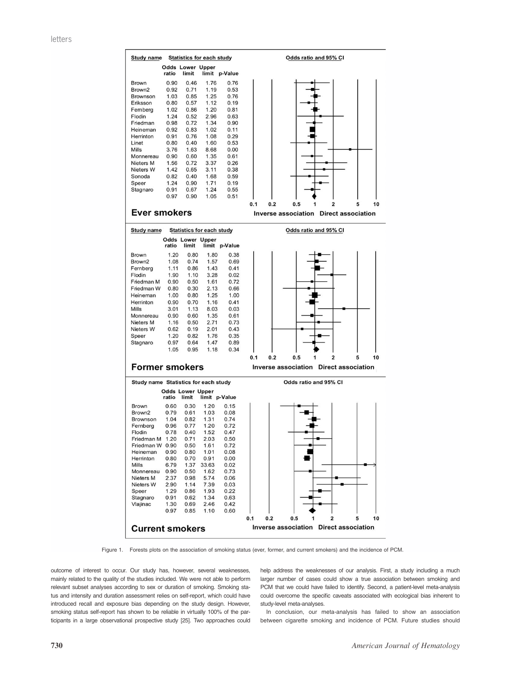

Figure 1. Forests plots on the association of smoking status (ever, former, and current smokers) and the incidence of PCM.

outcome of interest to occur. Our study has, however, several weaknesses, mainly related to the quality of the studies included. We were not able to perform relevant subset analyses according to sex or duration of smoking. Smoking status and intensity and duration assessment relies on self-report, which could have introduced recall and exposure bias depending on the study design. However, smoking status self-report has shown to be reliable in virtually 100% of the participants in a large observational prospective study [25]. Two approaches could

help address the weaknesses of our analysis. First, a study including a much larger number of cases could show a true association between smoking and PCM that we could have failed to identify. Second, a patient-level meta-analysis could overcome the specific caveats associated with ecological bias inherent to study-level meta-analyses.

In conclusion, our meta-analysis has failed to show an association between cigarette smoking and incidence of PCM. Future studies should